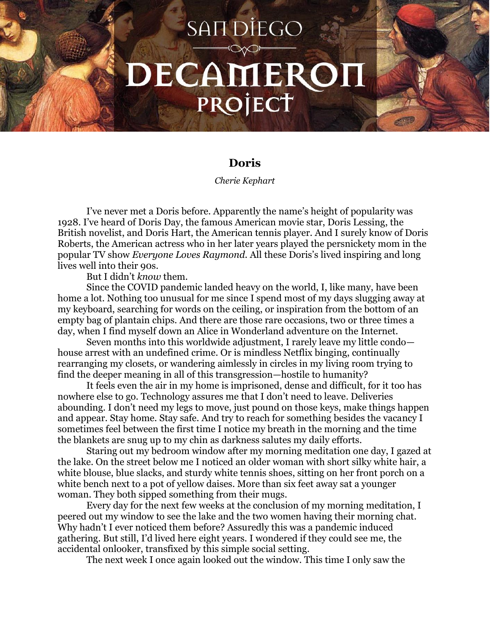## **SANDIEGO** DECAMEROH PROJECT

## **Doris**

*Cherie Kephart*

I've never met a Doris before. Apparently the name's height of popularity was 1928. I've heard of Doris Day, the famous American movie star, Doris Lessing, the British novelist, and Doris Hart, the American tennis player. And I surely know of Doris Roberts, the American actress who in her later years played the persnickety mom in the popular TV show *Everyone Loves Raymond.* All these Doris's lived inspiring and long lives well into their 90s.

But I didn't *know* them.

Since the COVID pandemic landed heavy on the world, I, like many, have been home a lot. Nothing too unusual for me since I spend most of my days slugging away at my keyboard, searching for words on the ceiling, or inspiration from the bottom of an empty bag of plantain chips. And there are those rare occasions, two or three times a day, when I find myself down an Alice in Wonderland adventure on the Internet.

Seven months into this worldwide adjustment, I rarely leave my little condo house arrest with an undefined crime. Or is mindless Netflix binging, continually rearranging my closets, or wandering aimlessly in circles in my living room trying to find the deeper meaning in all of this transgression—hostile to humanity?

It feels even the air in my home is imprisoned, dense and difficult, for it too has nowhere else to go. Technology assures me that I don't need to leave. Deliveries abounding. I don't need my legs to move, just pound on those keys, make things happen and appear. Stay home. Stay safe. And try to reach for something besides the vacancy I sometimes feel between the first time I notice my breath in the morning and the time the blankets are snug up to my chin as darkness salutes my daily efforts.

Staring out my bedroom window after my morning meditation one day, I gazed at the lake. On the street below me I noticed an older woman with short silky white hair, a white blouse, blue slacks, and sturdy white tennis shoes, sitting on her front porch on a white bench next to a pot of yellow daises. More than six feet away sat a younger woman. They both sipped something from their mugs.

Every day for the next few weeks at the conclusion of my morning meditation, I peered out my window to see the lake and the two women having their morning chat. Why hadn't I ever noticed them before? Assuredly this was a pandemic induced gathering. But still, I'd lived here eight years. I wondered if they could see me, the accidental onlooker, transfixed by this simple social setting.

The next week I once again looked out the window. This time I only saw the